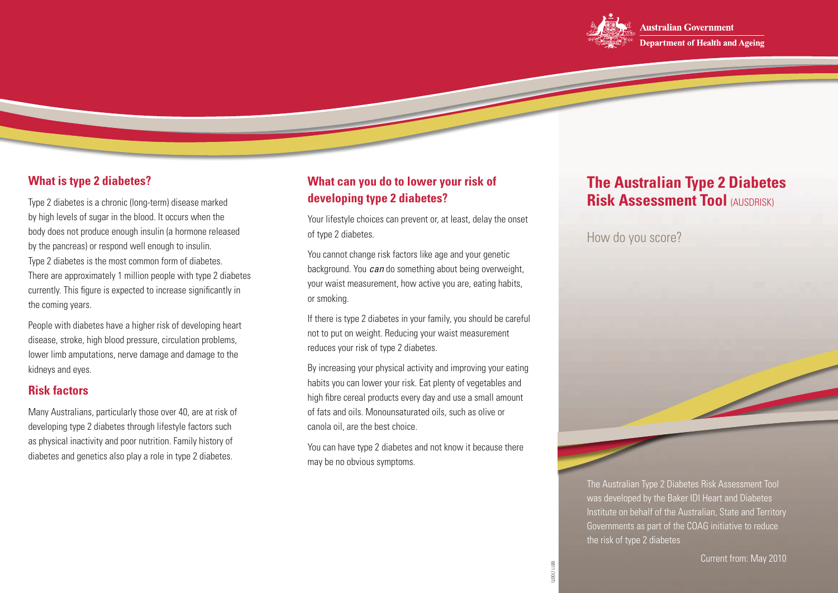

## **What is type 2 diabetes?**

Type 2 diabetes is a chronic (long-term) disease marked by high levels of sugar in the blood. It occurs when the body does not produce enough insulin (a hormone released by the pancreas) or respond well enough to insulin. Type 2 diabetes is the most common form of diabetes. There are approximately 1 million people with type 2 diabetes currently. This figure is expected to increase significantly in the coming years.

People with diabetes have a higher risk of developing heart disease, stroke, high blood pressure, circulation problems, lower limb amputations, nerve damage and damage to the kidneys and eyes.

### **Risk factors**

Many Australians, particularly those over 40, are at risk of developing type 2 diabetes through lifestyle factors such as physical inactivity and poor nutrition. Family history of diabetes and genetics also play a role in type 2 diabetes.

# **What can you do to lower your risk of developing type 2 diabetes?**

Your lifestyle choices can prevent or, at least, delay the onset of type 2 diabetes.

You cannot change risk factors like age and your genetic background. You *can* do something about being overweight, your waist measurement, how active you are, eating habits, or smoking.

If there is type 2 diabetes in your family, you should be careful not to put on weight. Reducing your waist measurement reduces your risk of type 2 diabetes.

By increasing your physical activity and improving your eating habits you can lower your risk. Eat plenty of vegetables and high fibre cereal products every day and use a small amount of fats and oils. Monounsaturated oils, such as olive or canola oil, are the best choice.

You can have type 2 diabetes and not know it because there may be no obvious symptoms.

# **The Australian Type 2 Diabetes Risk Assessment Tool (AUSDRISK)**

How do you score?

The Australian Type 2 Diabetes Risk Assessment Tool was developed by the Baker IDI Heart and Diabetes Institute on behalf of the Australian, State and Territory Governments as part of the COAG initiative to reduce the risk of type 2 diabetes

6811 (1007)